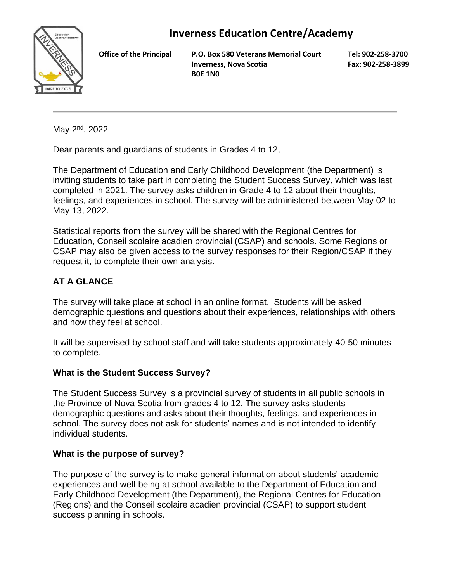# **Inverness Education Centre/Academy**



**Office of the Principal P.O. Box 580 Veterans Memorial Court Inverness, Nova Scotia B0E 1N0**

**Tel: 902-258-3700 Fax: 902-258-3899**

May 2nd, 2022

Dear parents and guardians of students in Grades 4 to 12,

The Department of Education and Early Childhood Development (the Department) is inviting students to take part in completing the Student Success Survey, which was last completed in 2021. The survey asks children in Grade 4 to 12 about their thoughts, feelings, and experiences in school. The survey will be administered between May 02 to May 13, 2022.

Statistical reports from the survey will be shared with the Regional Centres for Education, Conseil scolaire acadien provincial (CSAP) and schools. Some Regions or CSAP may also be given access to the survey responses for their Region/CSAP if they request it, to complete their own analysis.

## **AT A GLANCE**

The survey will take place at school in an online format. Students will be asked demographic questions and questions about their experiences, relationships with others and how they feel at school.

It will be supervised by school staff and will take students approximately 40-50 minutes to complete.

## **What is the Student Success Survey?**

The Student Success Survey is a provincial survey of students in all public schools in the Province of Nova Scotia from grades 4 to 12. The survey asks students demographic questions and asks about their thoughts, feelings, and experiences in school. The survey does not ask for students' names and is not intended to identify individual students.

## **What is the purpose of survey?**

The purpose of the survey is to make general information about students' academic experiences and well-being at school available to the Department of Education and Early Childhood Development (the Department), the Regional Centres for Education (Regions) and the Conseil scolaire acadien provincial (CSAP) to support student success planning in schools.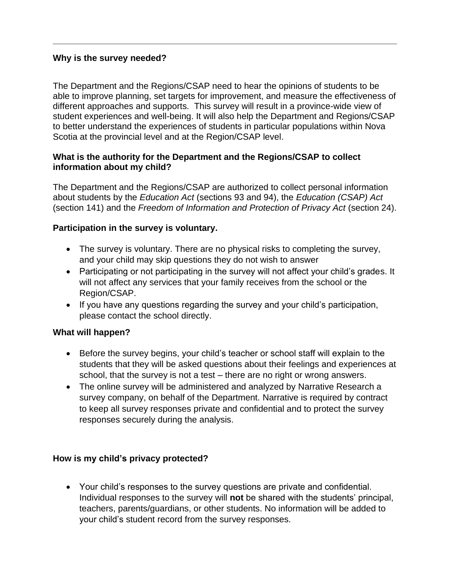#### **Why is the survey needed?**

The Department and the Regions/CSAP need to hear the opinions of students to be able to improve planning, set targets for improvement, and measure the effectiveness of different approaches and supports. This survey will result in a province-wide view of student experiences and well-being. It will also help the Department and Regions/CSAP to better understand the experiences of students in particular populations within Nova Scotia at the provincial level and at the Region/CSAP level.

#### **What is the authority for the Department and the Regions/CSAP to collect information about my child?**

The Department and the Regions/CSAP are authorized to collect personal information about students by the *Education Act* (sections 93 and 94), the *Education (CSAP) Act* (section 141) and the *Freedom of Information and Protection of Privacy Act* (section 24).

#### **Participation in the survey is voluntary.**

- The survey is voluntary. There are no physical risks to completing the survey, and your child may skip questions they do not wish to answer
- Participating or not participating in the survey will not affect your child's grades. It will not affect any services that your family receives from the school or the Region/CSAP.
- If you have any questions regarding the survey and your child's participation, please contact the school directly.

## **What will happen?**

- Before the survey begins, your child's teacher or school staff will explain to the students that they will be asked questions about their feelings and experiences at school, that the survey is not a test – there are no right or wrong answers.
- The online survey will be administered and analyzed by Narrative Research a survey company, on behalf of the Department. Narrative is required by contract to keep all survey responses private and confidential and to protect the survey responses securely during the analysis.

## **How is my child's privacy protected?**

• Your child's responses to the survey questions are private and confidential. Individual responses to the survey will **not** be shared with the students' principal, teachers, parents/guardians, or other students. No information will be added to your child's student record from the survey responses.